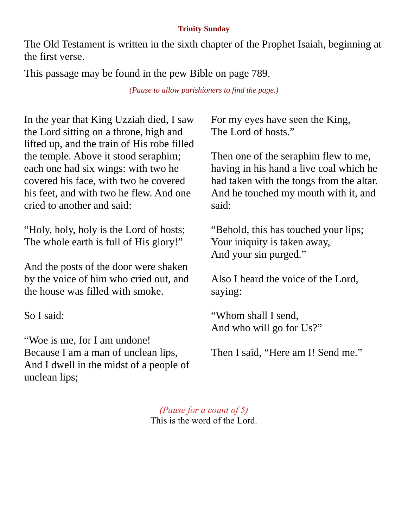## **Trinity Sunday**

The Old Testament is written in the sixth chapter of the Prophet Isaiah, beginning at the first verse.

This passage may be found in the pew Bible on page 789.

*(Pause to allow parishioners to find the page.)*

In the year that King Uzziah died, I saw the Lord sitting on a throne, high and lifted up, and the train of His robe filled the temple. Above it stood seraphim; each one had six wings: with two he covered his face, with two he covered his feet, and with two he flew. And one cried to another and said:

"Holy, holy, holy is the Lord of hosts; The whole earth is full of His glory!"

And the posts of the door were shaken by the voice of him who cried out, and the house was filled with smoke.

So I said:

"Woe is me, for I am undone! Because I am a man of unclean lips, And I dwell in the midst of a people of unclean lips;

For my eyes have seen the King, The Lord of hosts."

Then one of the seraphim flew to me, having in his hand a live coal which he had taken with the tongs from the altar. And he touched my mouth with it, and said:

"Behold, this has touched your lips; Your iniquity is taken away, And your sin purged."

Also I heard the voice of the Lord, saying:

"Whom shall I send, And who will go for Us?"

Then I said, "Here am I! Send me."

*(Pause for a count of 5)* This is the word of the Lord.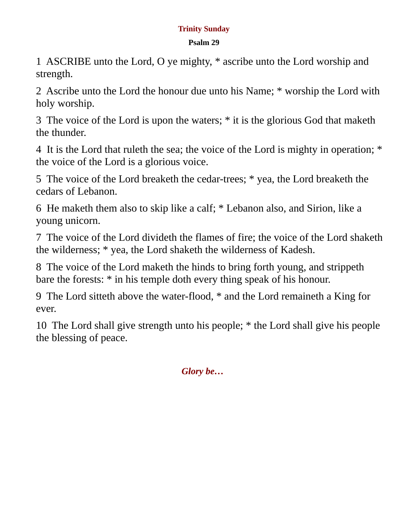## **Trinity Sunday**

## **Psalm 29**

1 ASCRIBE unto the Lord, O ye mighty, \* ascribe unto the Lord worship and strength.

2 Ascribe unto the Lord the honour due unto his Name; \* worship the Lord with holy worship.

3 The voice of the Lord is upon the waters; \* it is the glorious God that maketh the thunder.

4 It is the Lord that ruleth the sea; the voice of the Lord is mighty in operation; \* the voice of the Lord is a glorious voice.

5 The voice of the Lord breaketh the cedar-trees; \* yea, the Lord breaketh the cedars of Lebanon.

6 He maketh them also to skip like a calf; \* Lebanon also, and Sirion, like a young unicorn.

7 The voice of the Lord divideth the flames of fire; the voice of the Lord shaketh the wilderness; \* yea, the Lord shaketh the wilderness of Kadesh.

8 The voice of the Lord maketh the hinds to bring forth young, and strippeth bare the forests: \* in his temple doth every thing speak of his honour.

9 The Lord sitteth above the water-flood, \* and the Lord remaineth a King for ever.

10 The Lord shall give strength unto his people; \* the Lord shall give his people the blessing of peace.

*Glory be…*